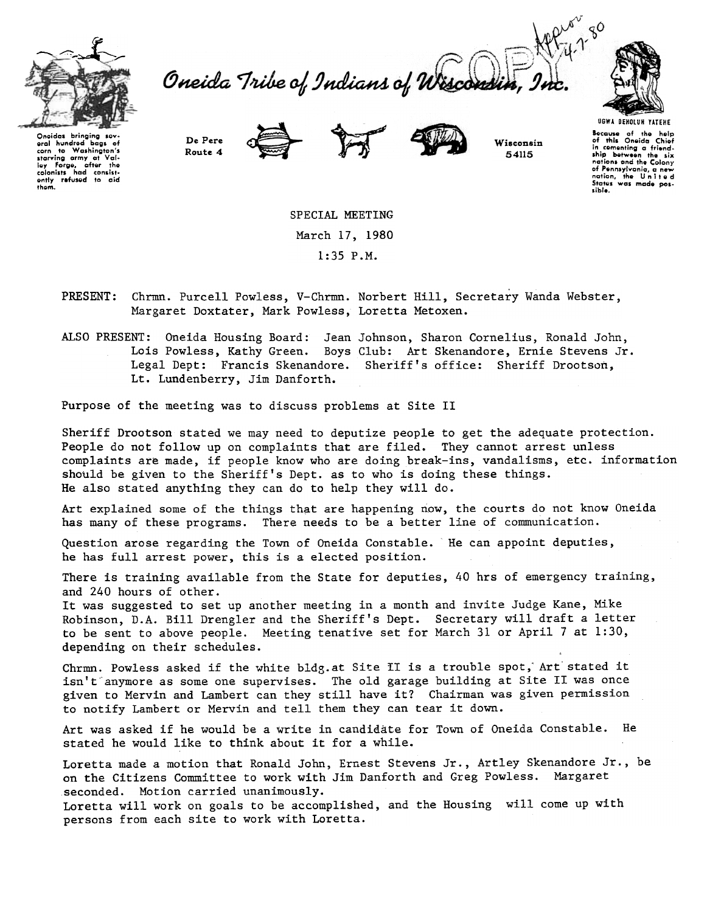

Oneida Tribe of Indians of Wiscon



Oneidas bringing sev-<br>eral hundred bags of<br>corn to Washington's starving army at Val<br>Iey Forge, after the colonists had consist<br>| ently <mark>refused</mark> to aid<br>| them.

De Pere Route 4





Wisconsin 54115

UGWA DEHOlUH YATEHE ovcause or me ne<br>of this Oneida Chi in comenting a friend.<br>Ship between the si<br>nations and the Colon or Pennsylvania, a new status was made po lible.

SPECIAL MEETING March 17, 1980 1:35 P.M.

Chrmn. Purcell Powless, V-Chrmn. Norbert Hill, Secretary Wanda Webster, **PRESENT:** Margaret Doxtater, Mark Powless, Loretta Metoxen.

ALSO PRESENT: Oneida Housing Board: Jean Johnson, Sharon Cornelius, Ronald John, Lois Powless, Kathy Green. Boys Club: Art Skenandore, Ernie Stevens Jr. Legal Dept: Francis Skenandore. Sheriff's office: Sheriff Drootson, Lt. Lundenberry, Jim Danforth.

Purpose of the meeting was to discuss problems at Site II

Sheriff Drootson stated we may need to deputize people to get the adequate protection. People do not follow up on complaints that are filed. They cannot arrest unless complaints are made, if people know who are doing break-ins, vandalisms, etc. information should be given to the Sheriff's Dept. as to who is doing these things. He also stated anything they can do to help they will do.

Art explained some of the things that are happening now, the courts do not know Oneida has many of these programs. There needs to be a better line of communication.

Question arose regarding the Town of Oneida Constable. He can appoint deputies, he has full arrest power, this is a elected position.

There is training available from the State for deputies, 40 hrs of emergency training, and 240 hours of other.

It was suggested to set up another meeting in a month and invite Judge Kane, Mike Robinson, D.A. Bill Drengler and the Sheriff's Dept. Secretary will draft a letter to be sent to above people. Meeting tenative set for March 31 or April 7 at 1:30, depending on their schedules.

Chrmn. Powless asked if the white bldg.at Site II is a trouble spot, Art stated it isn't anymore as some one supervises. The old garage building at Site II was once given to Mervin and Lambert can they still have it? Chairman was given permission to notify Lambert or Mervin and tell them they can tear it down.

Art was asked if he would be a write in candidate for Town of Oneida Constable. He stated he would like to think about it for a while.

Loretta made a motion that Ronald John, Ernest Stevens Jr., Artley Skenandore Jr., be on the Citizens Committee to work with Jim Danforth and Greg Powless. Margaret seconded. Motion carried unanimously.

Loretta will work on goals to be accomplished, and the Housing will come up with persons from each site to work with Loretta.